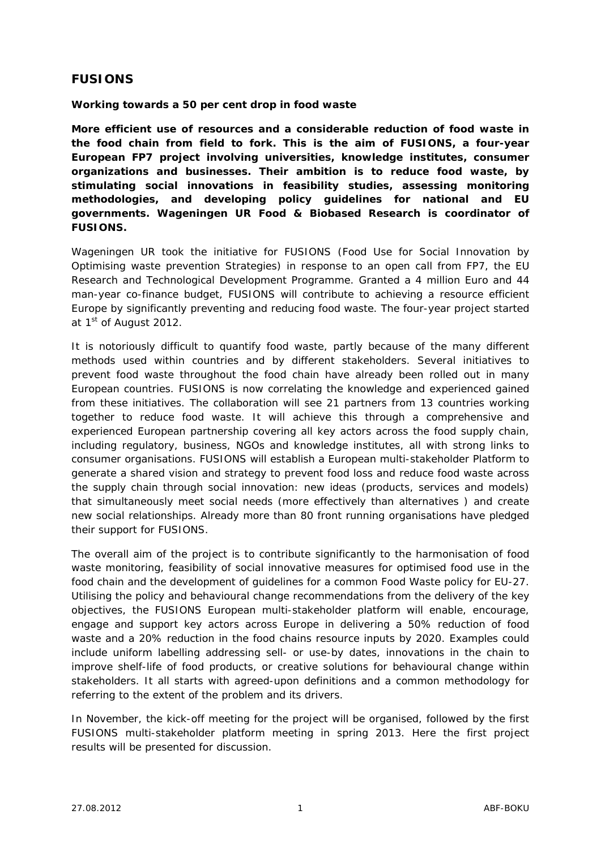# **FUSIONS**

## *Working towards a 50 per cent drop in food waste*

**More efficient use of resources and a considerable reduction of food waste in the food chain from field to fork. This is the aim of FUSIONS, a four-year European FP7 project involving universities, knowledge institutes, consumer organizations and businesses. Their ambition is to reduce food waste, by stimulating social innovations in feasibility studies, assessing monitoring methodologies, and developing policy guidelines for national and EU governments. Wageningen UR Food & Biobased Research is coordinator of FUSIONS.** 

Wageningen UR took the initiative for FUSIONS (Food Use for Social Innovation by Optimising waste prevention Strategies) in response to an open call from FP7, the EU Research and Technological Development Programme. Granted a 4 million Euro and 44 man-year co-finance budget, FUSIONS will contribute to achieving a resource efficient Europe by significantly preventing and reducing food waste. The four-year project started at 1<sup>st</sup> of August 2012.

It is notoriously difficult to quantify food waste, partly because of the many different methods used within countries and by different stakeholders. Several initiatives to prevent food waste throughout the food chain have already been rolled out in many European countries. FUSIONS is now correlating the knowledge and experienced gained from these initiatives. The collaboration will see 21 partners from 13 countries working together to reduce food waste. It will achieve this through a comprehensive and experienced European partnership covering all key actors across the food supply chain, including regulatory, business, NGOs and knowledge institutes, all with strong links to consumer organisations. FUSIONS will establish a European multi-stakeholder Platform to generate a shared vision and strategy to prevent food loss and reduce food waste across the supply chain through social innovation: new ideas (products, services and models) that simultaneously meet social needs (more effectively than alternatives ) and create new social relationships. Already more than 80 front running organisations have pledged their support for FUSIONS.

The overall aim of the project is to contribute significantly to the harmonisation of food waste monitoring, feasibility of social innovative measures for optimised food use in the food chain and the development of guidelines for a common Food Waste policy for EU-27. Utilising the policy and behavioural change recommendations from the delivery of the key objectives, the FUSIONS European multi-stakeholder platform will enable, encourage, engage and support key actors across Europe in delivering a 50% reduction of food waste and a 20% reduction in the food chains resource inputs by 2020. Examples could include uniform labelling addressing sell- or use-by dates, innovations in the chain to improve shelf-life of food products, or creative solutions for behavioural change within stakeholders. It all starts with agreed-upon definitions and a common methodology for referring to the extent of the problem and its drivers.

In November, the kick-off meeting for the project will be organised, followed by the first FUSIONS multi-stakeholder platform meeting in spring 2013. Here the first project results will be presented for discussion.